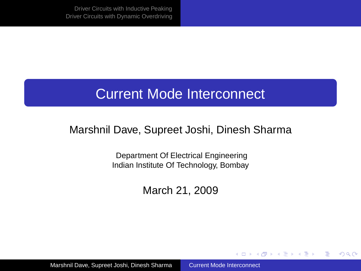#### Current Mode Interconnect

#### Marshnil Dave, Supreet Joshi, Dinesh Sharma

Department Of Electrical Engineering Indian Institute Of Technology, Bombay

March 21, 2009

<span id="page-0-0"></span>イロト イ押 トイヨ トイヨ トー

B

 $2Q$ 

Marshnil Dave, Supreet Joshi, Dinesh Sharma [Current Mode Interconnect](#page-35-0)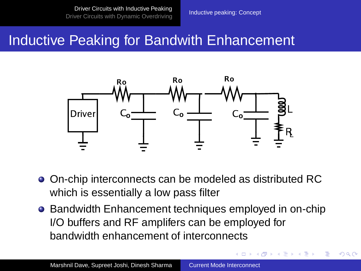<span id="page-1-0"></span> $A \equiv \mathbb{R} \cup A \equiv \mathbb{R}$ 

 $QQ$ 

#### Inductive Peaking for Bandwith Enhancement



- On-chip interconnects can be modeled as distributed RC which is essentially a low pass filter
- Bandwidth Enhancement techniques employed in on-chip I/O buffers and RF amplifers can be employed for bandwidth enhancement of interconnects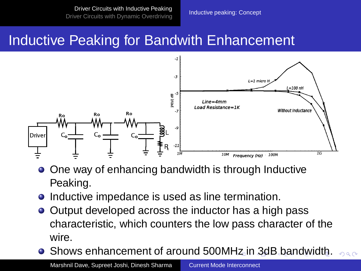### Inductive Peaking for Bandwith Enhancement



- One way of enhancing bandwidth is through Inductive Peaking.
- Inductive impedance is used as line termination.
- Output developed across the inductor has a high pass characteristic, which counters the low pass character of the wire.
- <span id="page-2-0"></span>**• Shows enhancement of around 500M[Hz](#page-1-0) [in](#page-3-0)[3d](#page-2-0)[B](#page-3-0) [b](#page-1-0)[a](#page-14-0)[n](#page-15-0)[d](#page-1-0)[w](#page-14-0)[i](#page-15-0)[dt](#page-0-0)[h.](#page-35-0)**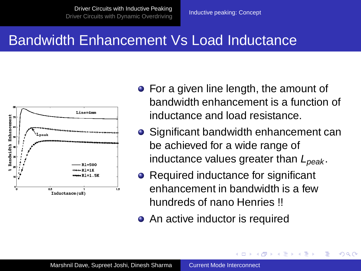#### Bandwidth Enhancement Vs Load Inductance



- For a given line length, the amount of bandwidth enhancement is a function of inductance and load resistance.
- Significant bandwidth enhancement can be achieved for a wide range of inductance values greater than  $L_{peak}$ .

 $\Omega$ 

<span id="page-3-0"></span>→ 重→

- Required inductance for significant enhancement in bandwidth is a few hundreds of nano Henries !!
- An active inductor is required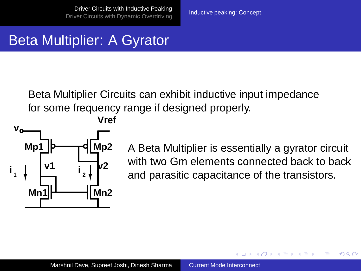# Beta Multiplier: A Gyrator

Beta Multiplier Circuits can exhibit inductive input impedance for some frequency range if designed properly.



A Beta Multiplier is essentially a gyrator circuit with two Gm elements connected back to back and parasitic capacitance of the transistors.

 $\Omega$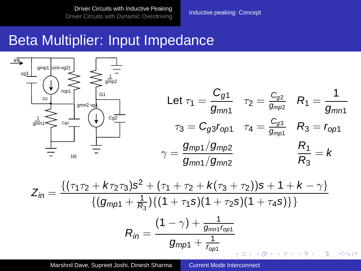[Driver Circuits with Inductive Peaking](#page-1-0) [Driver Circuits with Dynamic Overdriving](#page-15-0) [Inductive peaking: Concept](#page-1-0)

#### Beta Multiplier: Input Impedance



Marshnil Dave, Supreet Joshi, Dinesh Sharma [Current Mode Interconnect](#page-0-0)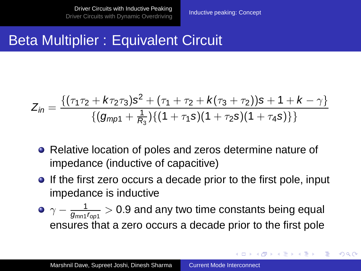**K ロ ト K 何 ト K ヨ ト K ヨ ト** 

B

 $QQ$ 

## Beta Multiplier : Equivalent Circuit

$$
\mathcal{Z}_{in} = \frac{\{(\tau_1\tau_2 + k\tau_2\tau_3)s^2 + (\tau_1 + \tau_2 + k(\tau_3 + \tau_2))s + 1 + k - \gamma\}}{\{(g_{mp1} + \frac{1}{R_3})\{(1 + \tau_1s)(1 + \tau_2s)(1 + \tau_4s)\}\}}
$$

- Relative location of poles and zeros determine nature of impedance (inductive of capacitive)
- **If the first zero occurs a decade prior to the first pole, input** impedance is inductive
- $\gamma-\frac{1}{g_{mn1}\tau_{opt}}>0.9$  and any two time constants being equal ensures that a zero occurs a decade prior to the first pole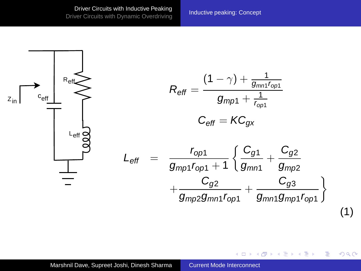[Driver Circuits with Inductive Peaking](#page-1-0) Driver Circuits with inductive reaking<br>[Driver Circuits with Dynamic Overdriving](#page-15-0) [Inductive peaking: Concept](#page-1-0)

 $\langle \vert \bar{f} \vert \vert \rangle$   $\langle \vert \bar{f} \vert \rangle$   $\langle \vert \bar{f} \vert \rangle$   $\langle \vert \bar{f} \vert \rangle$ 

4日下

Þ

 $2Q$ 

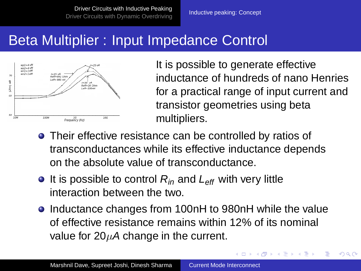## Beta Multiplier : Input Impedance Control



It is possible to generate effective inductance of hundreds of nano Henries for a practical range of input current and transistor geometries using beta multipliers.

**≮ロト ⊀伊ト ⊀ ヨト ⊀ ヨト** 

 $QQ$ 

- Their effective resistance can be controlled by ratios of transconductances while its effective inductance depends on the absolute value of transconductance.
- $\bullet$  It is possible to control  $R_{in}$  and  $L_{\text{eff}}$  with very little interaction between the two.
- Inductance changes from 100nH to 980nH while the value of effective resistance remains within 12% of its nominal value for  $20\mu A$  change in the current.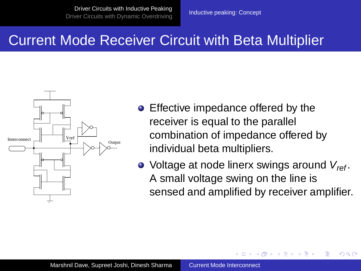#### Current Mode Receiver Circuit with Beta Multiplier



- Effective impedance offered by the receiver is equal to the parallel combination of impedance offered by individual beta multipliers.
- $\bullet$  Voltage at node linerx swings around  $V_{ref}$ . A small voltage swing on the line is sensed and amplified by receiver amplifier.

A F

→ 重 → → 重 →

 $\Omega$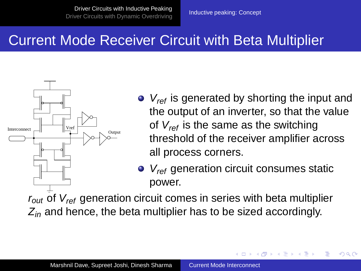#### Current Mode Receiver Circuit with Beta Multiplier



- $\bullet$   $V_{ref}$  is generated by shorting the input and the output of an inverter, so that the value of  $V_{ref}$  is the same as the switching threshold of the receiver amplifier across all process corners.
- $\bullet$   $V_{ref}$  generation circuit consumes static power.

 $\langle \vert \bar{f} \vert \vert \rangle$  and  $\langle \vert \bar{f} \vert \rangle$  and  $\langle \vert \bar{f} \vert \rangle$ 

 $\Omega$ 

 $r_{out}$  of  $V_{ref}$  generation circuit comes in series with beta multiplier  $Z_{in}$  and hence, the beta multiplier has to be sized accordingly.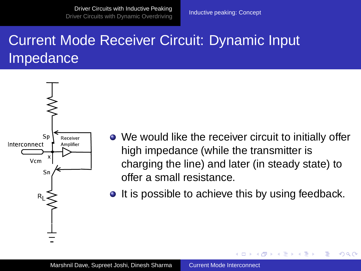[Driver Circuits with Inductive Peaking](#page-1-0) Driver Circuits with inductive reaking<br>[Driver Circuits with Dynamic Overdriving](#page-15-0) [Inductive peaking: Concept](#page-1-0)

# Current Mode Receiver Circuit: Dynamic Input Impedance



- We would like the receiver circuit to initially offer high impedance (while the transmitter is charging the line) and later (in steady state) to offer a small resistance.
- **It is possible to achieve this by using feedback.**

→ 単 → → 単 →

A F

 $QQ$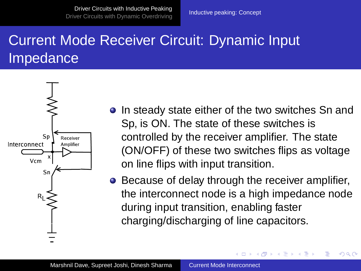[Driver Circuits with Inductive Peaking](#page-1-0) [Driver Circuits with Dynamic Overdriving](#page-15-0) [Inductive peaking: Concept](#page-1-0)<br>Driver Circuits with Dynamic Overdriving

# Current Mode Receiver Circuit: Dynamic Input Impedance



- **•** In steady state either of the two switches Sn and Sp, is ON. The state of these switches is controlled by the receiver amplifier. The state (ON/OFF) of these two switches flips as voltage on line flips with input transition.
- **•** Because of delay through the receiver amplifier, the interconnect node is a high impedance node during input transition, enabling faster charging/discharging of line capacitors.

イロト イ押 トイヨ トイヨト

 $2Q$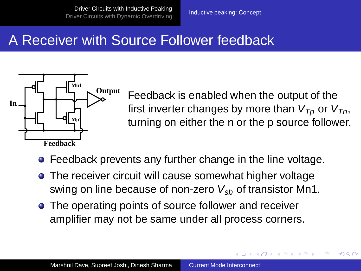#### A Receiver with Source Follower feedback



Feedback is enabled when the output of the first inverter changes by more than  $V_{T_p}$  or  $V_{T_p}$ , turning on either the n or the p source follower.

4 17 18

K 何 ▶ K ヨ ▶ K ヨ ▶

 $\Omega$ 

- Feedback prevents any further change in the line voltage.
- The receiver circuit will cause somewhat higher voltage swing on line because of non-zero  $V_{sb}$  of transistor Mn1.
- The operating points of source follower and receiver amplifier may not be same under all process corners.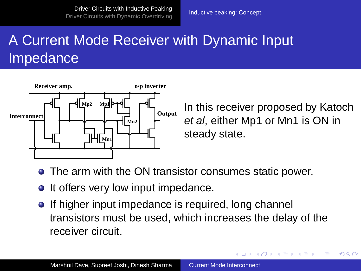# A Current Mode Receiver with Dynamic Input Impedance



In this receiver proposed by Katoch et al, either Mp1 or Mn1 is ON in steady state.

<span id="page-14-0"></span>イロト イ押 トイヨ トイヨト

 $QQ$ 

- The arm with the ON transistor consumes static power.
- It offers very low input impedance.
- **If higher input impedance is required, long channel** transistors must be used, which increases the delay of the receiver circuit.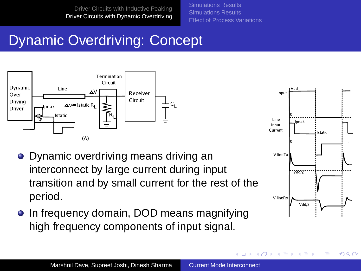[Simulations Results](#page-18-0) [Simulations Results](#page-30-0) [Effect of Process Variations](#page-33-0)

# Dynamic Overdriving: Concept



- Dynamic overdriving means driving an interconnect by large current during input transition and by small current for the rest of the period.
- **.** In frequency domain, DOD means magnifying high frequency components of input signal.



<span id="page-15-0"></span>**K ロ ▶ K 何 ▶ K ヨ ▶ K ヨ** 

 $299$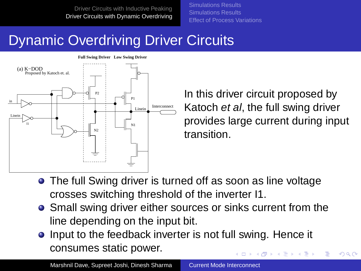[Simulations Results](#page-18-0) [Simulations Results](#page-30-0) [Effect of Process Variations](#page-33-0)

## Dynamic Overdriving Driver Circuits



In this driver circuit proposed by Katoch et al, the full swing driver provides large current during input transition.

 $\Omega$ 

- The full Swing driver is turned off as soon as line voltage crosses switching threshold of the inverter I1.
- Small swing driver either sources or sinks current from the line depending on the input bit.
- Input to the feedback inverter is not full swing. Hence it consumes static power. イロト イ押 トイヨ トイヨト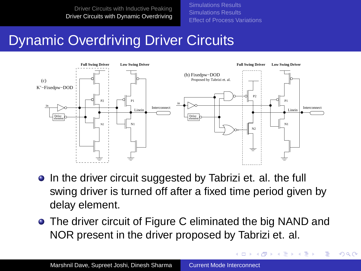[Simulations Results](#page-18-0) [Simulations Results](#page-30-0) [Effect of Process Variations](#page-33-0)

## Dynamic Overdriving Driver Circuits



- In the driver circuit suggested by Tabrizi et. al. the full swing driver is turned off after a fixed time period given by delay element.
- The driver circuit of Figure C eliminated the big NAND and NOR present in the driver proposed by Tabrizi et. al.

<span id="page-17-0"></span>イロト イ押 トイヨ トイヨト

 $QQ$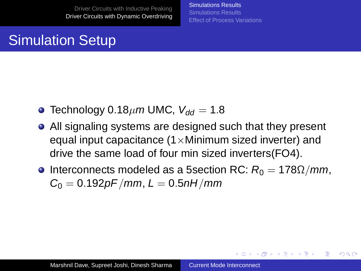[Simulations Results](#page-18-0) [Simulations Results](#page-30-0) [Effect of Process Variations](#page-33-0)

<span id="page-18-0"></span>イロト イ押 トイヨ トイヨ トー

 $QQ$ 

#### Simulation Setup

- **Technology 0.18** $\mu$ m UMC,  $V_{dd} = 1.8$
- All signaling systems are designed such that they present equal input capacitance  $(1 \times M$ inimum sized inverter) and drive the same load of four min sized inverters(FO4).
- **Interconnects modeled as a 5section RC:**  $R_0 = 178\Omega/mm$ ,  $C_0 = 0.192pF/mm, L = 0.5nH/mm$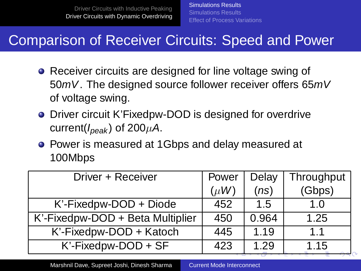#### Comparison of Receiver Circuits: Speed and Power

- Receiver circuits are designed for line voltage swing of 50mV. The designed source follower receiver offers 65mV of voltage swing.
- Driver circuit K'Fixedpw-DOD is designed for overdrive current( $I_{peak}$ ) of 200 $\mu$ A.
- Power is measured at 1Gbps and delay measured at 100Mbps

| Driver + Receiver                | Power     | Delay | Throughput |
|----------------------------------|-----------|-------|------------|
|                                  | $(\mu W)$ | (ns)  | (Gbps)     |
| K'-Fixedpw-DOD + Diode           | 452       | 1.5   | 1 በ        |
| K'-Fixedpw-DOD + Beta Multiplier | 450       | 0.964 | 1.25       |
| K'-Fixedpw-DOD + Katoch          | 445       | 1 1 9 | 11         |
| K'-Fixedpw-DOD + SF              | 423       | 1.29  | 1.15       |

<span id="page-19-0"></span>Marshnil Dave, Supreet Joshi, Dinesh Sharma [Current Mode Interconnect](#page-0-0)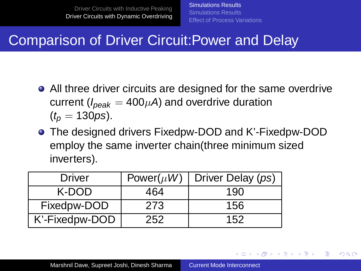<span id="page-20-0"></span>イロメ イ押メ イヨメ イヨメー

 $QQ$ 

## Comparison of Driver Circuit:Power and Delay

- All three driver circuits are designed for the same overdrive current ( $I_{peak} = 400 \mu A$ ) and overdrive duration  $(t_n = 130 \text{ps})$ .
- The designed drivers Fixedpw-DOD and K'-Fixedpw-DOD employ the same inverter chain(three minimum sized inverters).

| Driver         | Power( $\mu$ W) | Driver Delay (ps) |
|----------------|-----------------|-------------------|
| K-DOD          | 464             | 190               |
| Fixedpw-DOD    | 273             | 156               |
| K'-Fixedpw-DOD | 252             | 152               |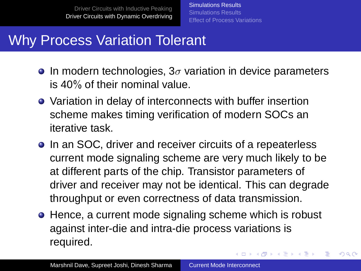[Simulations Results](#page-18-0) [Simulations Results](#page-30-0) [Effect of Process Variations](#page-33-0)

イロトメ 御 トメ 重 トメ 重 トー

 $QQ$ 

э

#### Why Process Variation Tolerant

- **In modern technologies, 3** $\sigma$  variation in device parameters is 40% of their nominal value.
- Variation in delay of interconnects with buffer insertion scheme makes timing verification of modern SOCs an iterative task.
- **•** In an SOC, driver and receiver circuits of a repeaterless current mode signaling scheme are very much likely to be at different parts of the chip. Transistor parameters of driver and receiver may not be identical. This can degrade throughput or even correctness of data transmission.
- Hence, a current mode signaling scheme which is robust against inter-die and intra-die process variations is required.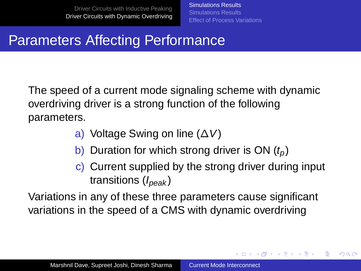# Parameters Affecting Performance

The speed of a current mode signaling scheme with dynamic overdriving driver is a strong function of the following parameters.

- a) Voltage Swing on line (∆V)
- b) Duration for which strong driver is ON  $(t<sub>n</sub>)$
- c) Current supplied by the strong driver during input transitions  $(I_{peak})$

<span id="page-22-0"></span>イロト イ押 トイヨ トイヨ トー

 $2Q$ 

Variations in any of these three parameters cause significant variations in the speed of a CMS with dynamic overdriving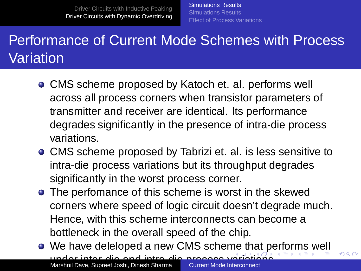[Simulations Results](#page-18-0) [Simulations Results](#page-30-0) [Effect of Process Variations](#page-33-0)

## Performance of Current Mode Schemes with Process Variation

- CMS scheme proposed by Katoch et. al. performs well across all process corners when transistor parameters of transmitter and receiver are identical. Its performance degrades significantly in the presence of intra-die process variations.
- CMS scheme proposed by Tabrizi et. al. is less sensitive to intra-die process variations but its throughput degrades significantly in the worst process corner.
- **•** The perfomance of this scheme is worst in the skewed corners where speed of logic circuit doesn't degrade much. Hence, with this scheme interconnects can become a bottleneck in the overall speed of the chip.
- We have deleloped a new CMS scheme that p[er](#page-17-0)[f](#page-18-0)[o](#page-29-0)[r](#page-30-0)[m](#page-14-0)[s](#page-15-0) [w](#page-35-0)[e](#page-0-0)[ll](#page-35-0) M[ar](#page-22-0)sh[n](#page-23-0)il Dave, Supreet Joshi, Dinesh Sharma [Current Mode Interconnect](#page-0-0)

<span id="page-23-0"></span> $\Omega$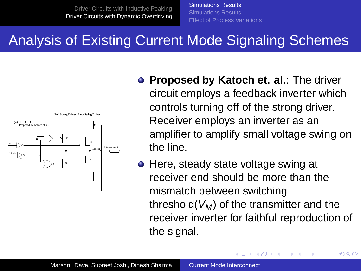[Simulations Results](#page-18-0) [Simulations Results](#page-30-0) [Effect of Process Variations](#page-33-0)

#### Analysis of Existing Current Mode Signaling Schemes



- **Proposed by Katoch et. al.: The driver** circuit employs a feedback inverter which controls turning off of the strong driver. Receiver employs an inverter as an amplifier to amplify small voltage swing on the line.
- Here, steady state voltage swing at receiver end should be more than the mismatch between switching threshold( $V_M$ ) of the transmitter and the receiver inverter for faithful reproduction of the signal.

 $\leftarrow$   $\Box$ 

<span id="page-24-0"></span>4 伊 ▶

- 4 国 8 3

つくい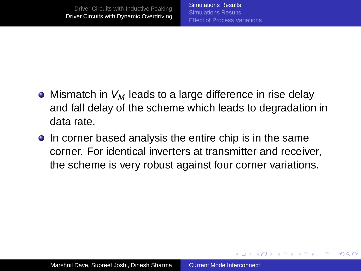$\langle \vert \bar{f} \vert \vert \rangle$   $\langle \vert \bar{f} \vert \rangle$   $\langle \vert \bar{f} \vert \rangle$   $\langle \vert \bar{f} \vert \rangle$ 

 $QQ$ 

- Mismatch in  $V_M$  leads to a large difference in rise delay and fall delay of the scheme which leads to degradation in data rate.
- **•** In corner based analysis the entire chip is in the same corner. For identical inverters at transmitter and receiver, the scheme is very robust against four corner variations.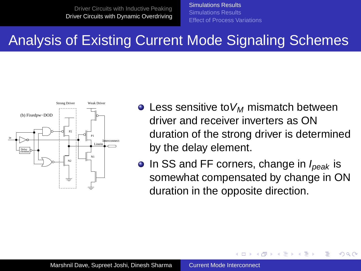[Simulations Results](#page-18-0) [Simulations Results](#page-30-0) [Effect of Process Variations](#page-33-0)

#### Analysis of Existing Current Mode Signaling Schemes



- $\bullet$  Less sensitive to  $V_M$  mismatch between driver and receiver inverters as ON duration of the strong driver is determined by the delay element.
- $\bullet$  In SS and FF corners, change in  $I_{peak}$  is somewhat compensated by change in ON duration in the opposite direction.

4 m k

④ 骨 ト ④ 手 ト

つくい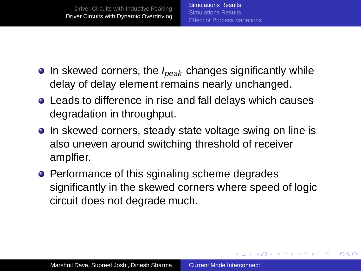<span id="page-27-0"></span>**K ロ ト K 何 ト K ヨ ト K ヨ ト** 

÷.

 $2Q$ 

- $\bullet$  In skewed corners, the  $I_{peak}$  changes significantly while delay of delay element remains nearly unchanged.
- Leads to difference in rise and fall delays which causes degradation in throughput.
- In skewed corners, steady state voltage swing on line is also uneven around switching threshold of receiver amplfier.
- Performance of this sginaling scheme degrades significantly in the skewed corners where speed of logic circuit does not degrade much.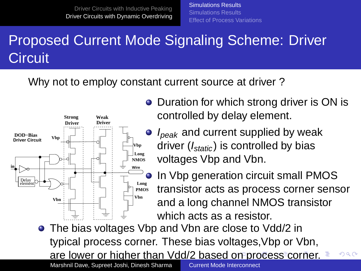[Simulations Results](#page-18-0) [Simulations Results](#page-30-0) [Effect of Process Variations](#page-33-0)

# Proposed Current Mode Signaling Scheme: Driver **Circuit**

Why not to employ constant current source at driver ?



- Duration for which strong driver is ON is controlled by delay element.
	- $I_{peak}$  and current supplied by weak driver  $(I<sub>static</sub>)$  is controlled by bias voltages Vbp and Vbn.

<span id="page-28-0"></span>In Vbp generation circuit small PMOS transistor acts as process corner sensor and a long channel NMOS transistor which acts as a resistor.

• The bias voltages Vbp and Vbn are close to Vdd/2 in typical process corner. These bias voltages,Vbp or Vbn, are lower or higher than Vdd/2 based [on](#page-27-0) [pr](#page-29-0)[o](#page-30-0)[c](#page-28-0)[e](#page-29-0)[s](#page-18-0)s [c](#page-29-0)o[r](#page-14-0)[n](#page-15-0)[er](#page-35-0)[.](#page-0-0)  $\Omega$ **Marshnil Dave, Supreet Joshi, Dinesh Sharma [Current Mode Interconnect](#page-0-0)**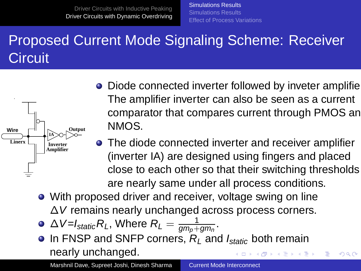[Simulations Results](#page-18-0) [Simulations Results](#page-30-0) [Effect of Process Variations](#page-33-0)

# Proposed Current Mode Signaling Scheme: Receiver **Circuit**



- Diode connected inverter followed by inveter amplifier-The amplifier inverter can also be seen as a current comparator that compares current through PMOS and NMOS.
- **•** The diode connected inverter and receiver amplifier (inverter IA) are designed using fingers and placed close to each other so that their switching thresholds are nearly same under all process conditions.
- With proposed driver and receiver, voltage swing on line

∆V remains nearly unchanged across process corners.

- $\Delta$  V=I $_{\textit{static}}$  R<sub>L</sub>, Where  $R_{\textit{L}} = \frac{1}{gm_p + gm_n}.$
- $\bullet$  In FNSP and SNFP corners,  $R_1$  and  $I_{static}$  both remain nearly unchanged.  $A \equiv \mathbb{R} \cup A \equiv \mathbb{R}$ 4 同 下

Marshnil Dave, Supreet Joshi, Dinesh Sharma Current Mode Interconnect

<span id="page-29-0"></span> $\Omega$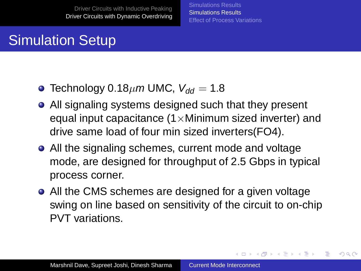[Simulations Results](#page-18-0) [Simulations Results](#page-30-0) [Effect of Process Variations](#page-33-0)

<span id="page-30-0"></span>イロト イ押 トイヨ トイヨト

 $QQ$ 

## Simulation Setup

- Technology 0.18 $\mu$ m UMC,  $V_{dd} = 1.8$
- All signaling systems designed such that they present equal input capacitance  $(1 \times M$ inimum sized inverter) and drive same load of four min sized inverters(FO4).
- All the signaling schemes, current mode and voltage mode, are designed for throughput of 2.5 Gbps in typical process corner.
- All the CMS schemes are designed for a given voltage swing on line based on sensitivity of the circuit to on-chip PVT variations.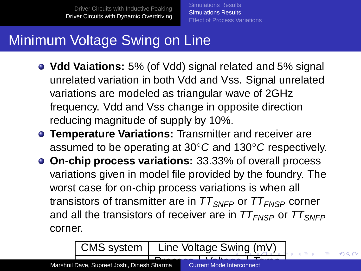[Simulations Results](#page-18-0) [Simulations Results](#page-30-0) [Effect of Process Variations](#page-33-0)

# Minimum Voltage Swing on Line

- **Vdd Vaiations:** 5% (of Vdd) signal related and 5% signal unrelated variation in both Vdd and Vss. Signal unrelated variations are modeled as triangular wave of 2GHz frequency. Vdd and Vss change in opposite direction reducing magnitude of supply by 10%.
- **Temperature Variations:** Transmitter and receiver are assumed to be operating at 30◦C and 130◦C respectively.
- **On-chip process variations:** 33.33% of overall process variations given in model file provided by the foundry. The worst case for on-chip process variations is when all transistors of transmitter are in  $TT_{SNFP}$  or  $TT_{FNSP}$  corner and all the transistors of receiver are in  $TT_{FNSP}$  or  $TT_{SNFP}$ corner.

<span id="page-31-0"></span> $\mathcal{L}_\mathrm{B}$  , the contract of the contract of the contract of the contract of the contract of the contract of the contract of the contract of the contract of the contract of the contract of the contract of the contract

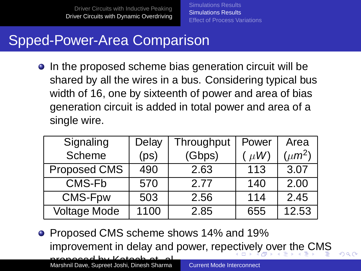[Simulations Results](#page-18-0) [Simulations Results](#page-30-0) [Effect of Process Variations](#page-33-0)

# Spped-Power-Area Comparison

• In the proposed scheme bias generation circuit will be shared by all the wires in a bus. Considering typical bus width of 16, one by sixteenth of power and area of bias generation circuit is added in total power and area of a single wire.

| Signaling    | Delay | Throughput | Power   | Area        |
|--------------|-------|------------|---------|-------------|
| Scheme       | (ps)  | (Gbps)     | $\mu$ W | $(\mu m^2)$ |
| Proposed CMS | 490   | 2.63       | 113     | 3.07        |
| CMS-Fb       | 570   | 2.77       | 140     | 2.00        |
| CMS-Fpw      | 503   | 2.56       | 114     | 2.45        |
| Voltage Mode | 1100  | 2.85       | 655     | 12.53       |

**• Proposed CMS scheme shows 14% and 19%** improvement in delay and power, rep[ect](#page-31-0)i[ve](#page-33-0)[l](#page-31-0)[y o](#page-32-0)[v](#page-33-0)[e](#page-29-0)[r](#page-30-0) [th](#page-33-0)[e](#page-15-0) [C](#page-35-0)[M](#page-0-0)[S](#page-35-0) proposed by Katoch et. al. Marshnil Dave, Supreet Joshi, Dinesh Sharma [Current Mode Interconnect](#page-0-0)

<span id="page-32-0"></span> $\Omega$ 

Delay and power of the voltage mode signaling scheme is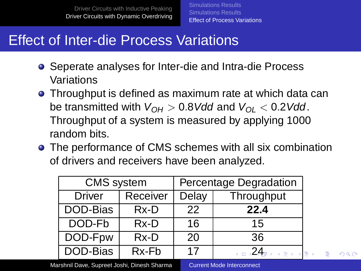#### Effect of Inter-die Process Variations

- Seperate analyses for Inter-die and Intra-die Process Variations
- Throughput is defined as maximum rate at which data can be transmitted with  $V_{OH} > 0.8$  Vdd and  $V_{OH} < 0.2$  Vdd. Throughput of a system is measured by applying 1000 random bits.
- The performance of CMS schemes with all six combination of drivers and receivers have been analyzed.

| <b>CMS</b> system |          | Percentage Degradation |                                 |  |
|-------------------|----------|------------------------|---------------------------------|--|
| <b>Driver</b>     | Receiver | Delay                  | Throughput                      |  |
| DOD-Bias          | Rx-D     | 22                     | 22.4                            |  |
| DOD-Fb            | Rx-D     | 16                     | 15                              |  |
| DOD-Fpw           | Rx-D     | 20                     | 36                              |  |
| DOD-Bias          | Rx-Fb    | 17                     | □ 24 <del>p x x p</del> x<br>١E |  |

Marshnil Dave, Supreet Joshi, Dinesh Sharma **Do [Current Mode Interconnect](#page-0-0)** 

<span id="page-33-0"></span>

 $2Q$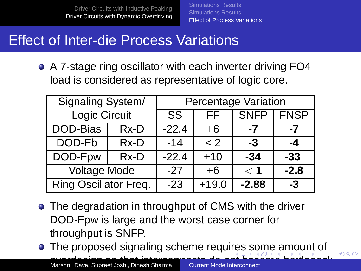[Simulations Results](#page-18-0) [Simulations Results](#page-30-0) [Effect of Process Variations](#page-33-0)

#### Effect of Inter-die Process Variations

A 7-stage ring oscillator with each inverter driving FO4 load is considered as representative of logic core.

| Signaling System/     |      | Percentage Variation |             |             |             |
|-----------------------|------|----------------------|-------------|-------------|-------------|
| Logic Circuit         |      | SS.                  | FF.         | <b>SNFP</b> | <b>FNSP</b> |
| DOD-Bias              | Rx-D | $-22.4$              | +6          | -7          | -7          |
| DOD-Fb                | Rx-D | $-14$                | $\langle$ 2 | -3          | -4          |
| DOD-Fpw               | Rx-D | $-22.4$              | $+10$       | $-34$       | $-33$       |
| Voltage Mode          |      | $-27$                | $+6$        | < 1         | $-2.8$      |
| Ring Oscillator Freq. |      | $-23$                | $+19.0$     | $-2.88$     | -3          |

- The degradation in throughput of CMS with the driver DOD-Fpw is large and the worst case corner for throughput is SNFP.
- **•** The proposed signaling scheme requires some amount of overdesign so that interconnects do n[ot](#page-33-0) [be](#page-35-0)[c](#page-33-0)[o](#page-34-0)[m](#page-35-0)[e](#page-32-0)[bo](#page-35-0)[tt](#page-14-0)[l](#page-15-0)[en](#page-35-0)[ec](#page-0-0)[k](#page-35-0) Marshnil Dave, Supreet Joshi, Dinesh Sharma [Current Mode Interconnect](#page-0-0)

<span id="page-34-0"></span> $\Omega$